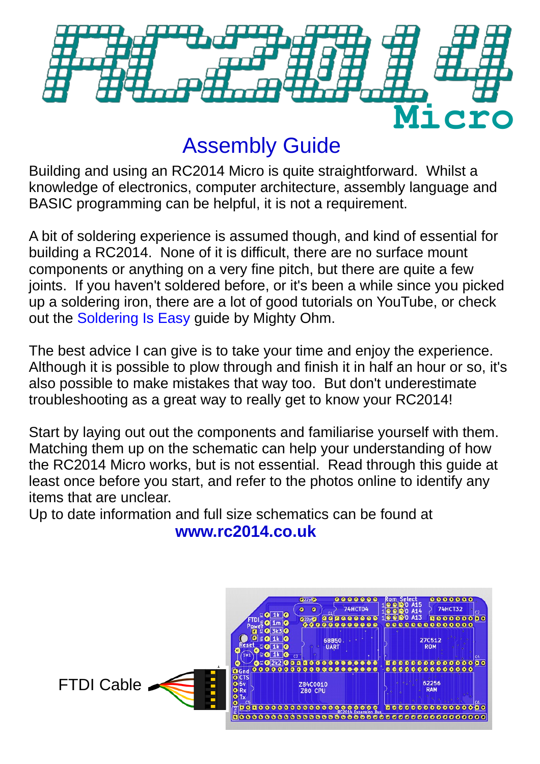

## Assembly Guide

Building and using an RC2014 Micro is quite straightforward. Whilst a knowledge of electronics, computer architecture, assembly language and BASIC programming can be helpful, it is not a requirement.

A bit of soldering experience is assumed though, and kind of essential for building a RC2014. None of it is difficult, there are no surface mount components or anything on a very fine pitch, but there are quite a few joints. If you haven't soldered before, or it's been a while since you picked up a soldering iron, there are a lot of good tutorials on YouTube, or check out the [Soldering Is Easy](https://mightyohm.com/files/soldercomic/FullSolderComic_EN.pdf) guide by Mighty Ohm.

The best advice I can give is to take your time and enjoy the experience. Although it is possible to plow through and finish it in half an hour or so, it's also possible to make mistakes that way too. But don't underestimate troubleshooting as a great way to really get to know your RC2014!

Start by laying out out the components and familiarise yourself with them. Matching them up on the schematic can help your understanding of how the RC2014 Micro works, but is not essential. Read through this guide at least once before you start, and refer to the photos online to identify any items that are unclear.

Up to date information and full size schematics can be found at **www.rc2014.co.uk**

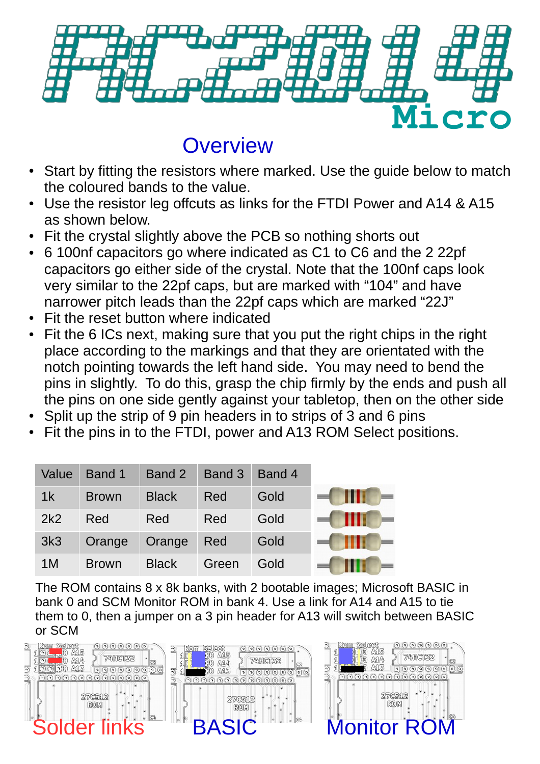

## **Overview**

- Start by fitting the resistors where marked. Use the guide below to match the coloured bands to the value.
- Use the resistor leg offcuts as links for the FTDI Power and A14 & A15 as shown below.
- Fit the crystal slightly above the PCB so nothing shorts out
- 6 100nf capacitors go where indicated as C1 to C6 and the 2 22pf capacitors go either side of the crystal. Note that the 100nf caps look very similar to the 22pf caps, but are marked with "104" and have narrower pitch leads than the 22pf caps which are marked "22J"
- Fit the reset button where indicated
- Fit the 6 ICs next, making sure that you put the right chips in the right place according to the markings and that they are orientated with the notch pointing towards the left hand side. You may need to bend the pins in slightly. To do this, grasp the chip firmly by the ends and push all the pins on one side gently against your tabletop, then on the other side
- Split up the strip of 9 pin headers in to strips of 3 and 6 pins
- Fit the pins in to the FTDI, power and A13 ROM Select positions.

| Value           | Band 1       | Band 2       | Band 3 | Band 4 |   |
|-----------------|--------------|--------------|--------|--------|---|
| 1 <sup>k</sup>  | <b>Brown</b> | <b>Black</b> | Red    | Gold   | Ш |
| 2k2             | Red          | Red          | Red    | Gold   | ш |
| 3k <sub>3</sub> | Orange       | Orange       | Red    | Gold   |   |
| 1 <sub>M</sub>  | <b>Brown</b> | <b>Black</b> | Green  | Gold   |   |

The ROM contains 8 x 8k banks, with 2 bootable images; Microsoft BASIC in bank 0 and SCM Monitor ROM in bank 4. Use a link for A14 and A15 to tie them to 0, then a jumper on a 3 pin header for A13 will switch between BASIC or SCM



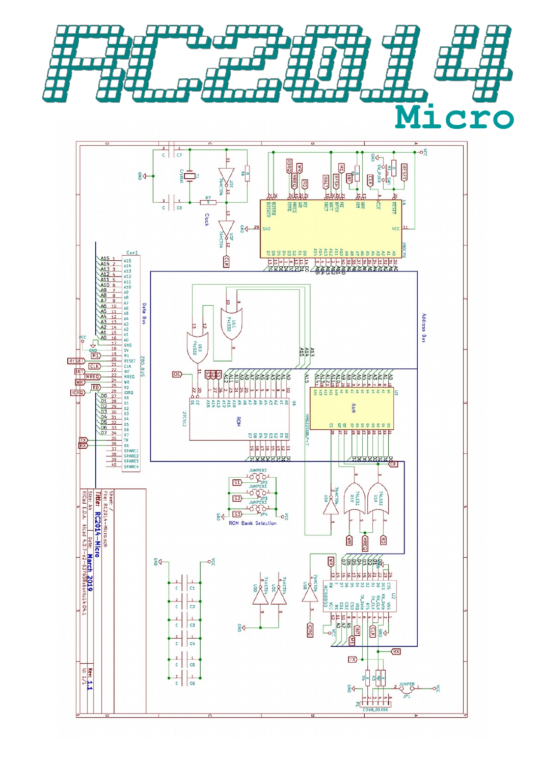